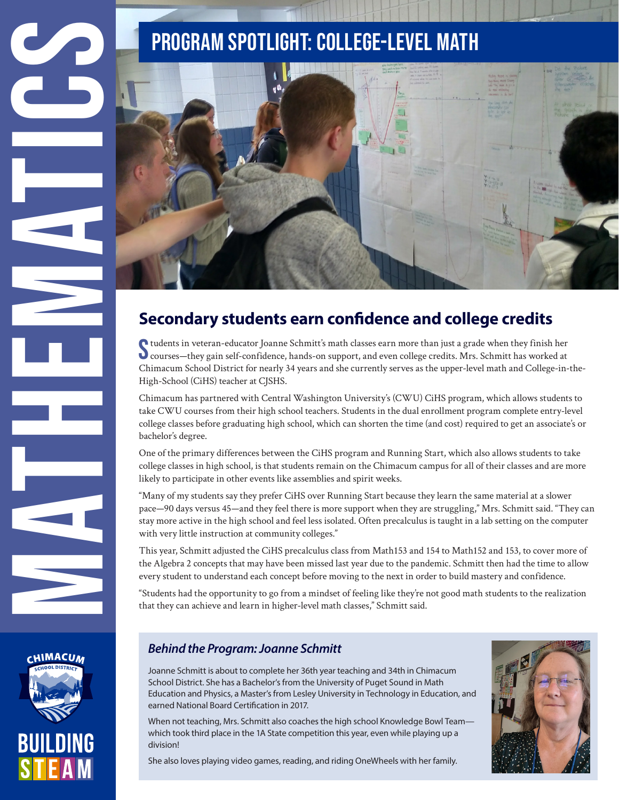

## **Secondary students earn confidence and college credits**

Students in veteran-educator Joanne Schmitt's math classes earn more than just a grade when they finish her<br>Strauss —they gain self-confidence, hands-on support, and even college credits. Mrs. Schmitt has worked at tudents in veteran-educator Joanne Schmitt's math classes earn more than just a grade when they finish her Chimacum School District for nearly 34 years and she currently serves as the upper-level math and College-in-the-High-School (CiHS) teacher at CJSHS.

Chimacum has partnered with Central Washington University's (CWU) CiHS program, which allows students to take CWU courses from their high school teachers. Students in the dual enrollment program complete entry-level college classes before graduating high school, which can shorten the time (and cost) required to get an associate's or bachelor's degree.

One of the primary differences between the CiHS program and Running Start, which also allows students to take college classes in high school, is that students remain on the Chimacum campus for all of their classes and are more likely to participate in other events like assemblies and spirit weeks.

"Many of my students say they prefer CiHS over Running Start because they learn the same material at a slower pace—90 days versus 45—and they feel there is more support when they are struggling," Mrs. Schmitt said. "They can stay more active in the high school and feel less isolated. Often precalculus is taught in a lab setting on the computer with very little instruction at community colleges."

This year, Schmitt adjusted the CiHS precalculus class from Math153 and 154 to Math152 and 153, to cover more of the Algebra 2 concepts that may have been missed last year due to the pandemic. Schmitt then had the time to allow every student to understand each concept before moving to the next in order to build mastery and confidence.

"Students had the opportunity to go from a mindset of feeling like they're not good math students to the realization that they can achieve and learn in higher-level math classes," Schmitt said.



### *Behind the Program: Joanne Schmitt*

Joanne Schmitt is about to complete her 36th year teaching and 34th in Chimacum School District. She has a Bachelor's from the University of Puget Sound in Math Education and Physics, a Master's from Lesley University in Technology in Education, and earned National Board Certification in 2017.

When not teaching, Mrs. Schmitt also coaches the high school Knowledge Bowl Team which took third place in the 1A State competition this year, even while playing up a division!

She also loves playing video games, reading, and riding OneWheels with her family.